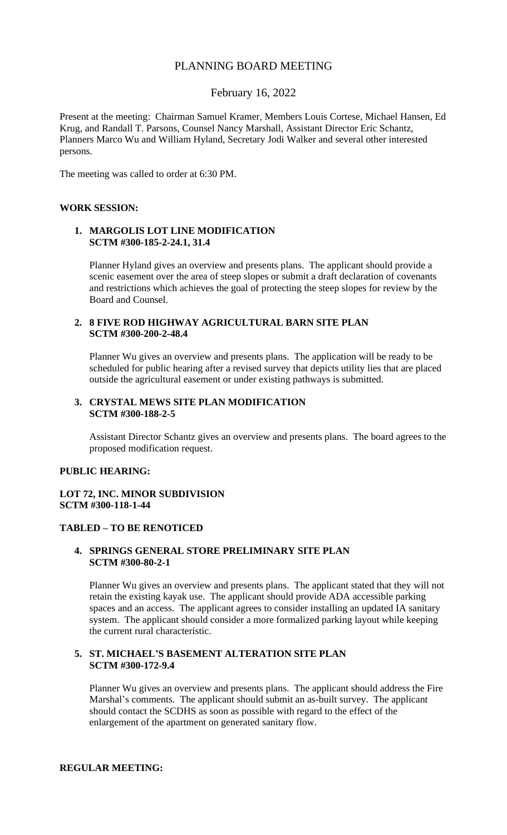# PLANNING BOARD MEETING

# February 16, 2022

Present at the meeting: Chairman Samuel Kramer, Members Louis Cortese, Michael Hansen, Ed Krug, and Randall T. Parsons, Counsel Nancy Marshall, Assistant Director Eric Schantz, Planners Marco Wu and William Hyland, Secretary Jodi Walker and several other interested persons.

The meeting was called to order at 6:30 PM.

## **WORK SESSION:**

# **1. MARGOLIS LOT LINE MODIFICATION SCTM #300-185-2-24.1, 31.4**

Planner Hyland gives an overview and presents plans. The applicant should provide a scenic easement over the area of steep slopes or submit a draft declaration of covenants and restrictions which achieves the goal of protecting the steep slopes for review by the Board and Counsel.

# **2. 8 FIVE ROD HIGHWAY AGRICULTURAL BARN SITE PLAN SCTM #300-200-2-48.4**

Planner Wu gives an overview and presents plans. The application will be ready to be scheduled for public hearing after a revised survey that depicts utility lies that are placed outside the agricultural easement or under existing pathways is submitted.

## **3. CRYSTAL MEWS SITE PLAN MODIFICATION SCTM #300-188-2-5**

Assistant Director Schantz gives an overview and presents plans. The board agrees to the proposed modification request.

### **PUBLIC HEARING:**

# **LOT 72, INC. MINOR SUBDIVISION SCTM #300-118-1-44**

# **TABLED – TO BE RENOTICED**

# **4. SPRINGS GENERAL STORE PRELIMINARY SITE PLAN SCTM #300-80-2-1**

Planner Wu gives an overview and presents plans. The applicant stated that they will not retain the existing kayak use. The applicant should provide ADA accessible parking spaces and an access. The applicant agrees to consider installing an updated IA sanitary system. The applicant should consider a more formalized parking layout while keeping the current rural characteristic.

# **5. ST. MICHAEL'S BASEMENT ALTERATION SITE PLAN SCTM #300-172-9.4**

Planner Wu gives an overview and presents plans. The applicant should address the Fire Marshal's comments. The applicant should submit an as-built survey. The applicant should contact the SCDHS as soon as possible with regard to the effect of the enlargement of the apartment on generated sanitary flow.

# **REGULAR MEETING:**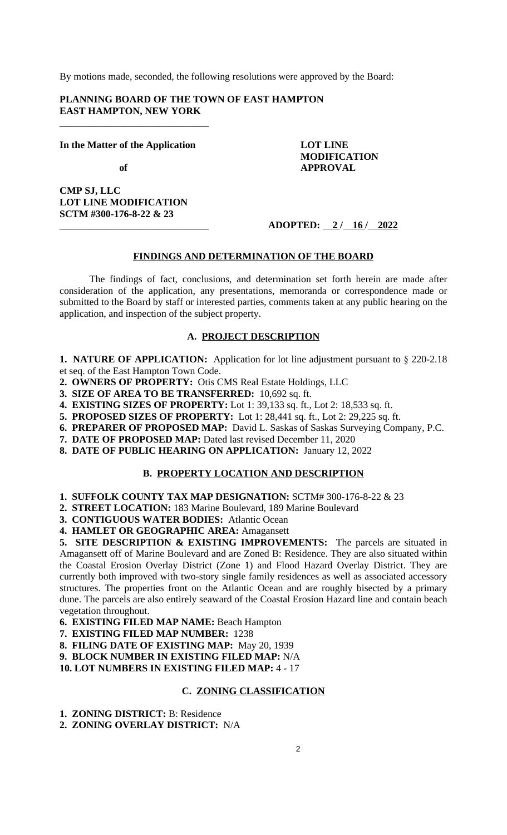By motions made, seconded, the following resolutions were approved by the Board:

**PLANNING BOARD OF THE TOWN OF EAST HAMPTON EAST HAMPTON, NEW YORK**

**In the Matter of the Application LOT LINE**

**\_\_\_\_\_\_\_\_\_\_\_\_\_\_\_\_\_\_\_\_\_\_\_\_\_\_\_\_\_\_**

of **APPROVAL** 

**CMP SJ, LLC LOT LINE MODIFICATION SCTM #300-176-8-22 & 23**

# \_\_\_\_\_\_\_\_\_\_\_\_\_\_\_\_\_\_\_\_\_\_\_\_\_\_\_\_\_\_ **ADOPTED: 2 / 16 / 2022**

 **MODIFICATION**

## **FINDINGS AND DETERMINATION OF THE BOARD**

The findings of fact, conclusions, and determination set forth herein are made after consideration of the application, any presentations, memoranda or correspondence made or submitted to the Board by staff or interested parties, comments taken at any public hearing on the application, and inspection of the subject property.

# **A. PROJECT DESCRIPTION**

**1. NATURE OF APPLICATION:** Application for lot line adjustment pursuant to § 220-2.18 et seq. of the East Hampton Town Code.

- **2. OWNERS OF PROPERTY:** Otis CMS Real Estate Holdings, LLC
- **3. SIZE OF AREA TO BE TRANSFERRED:** 10,692 sq. ft.
- **4. EXISTING SIZES OF PROPERTY:** Lot 1: 39,133 sq. ft., Lot 2: 18,533 sq. ft.
- **5. PROPOSED SIZES OF PROPERTY:** Lot 1: 28,441 sq. ft., Lot 2: 29,225 sq. ft.
- **6. PREPARER OF PROPOSED MAP:** David L. Saskas of Saskas Surveying Company, P.C.
- **7. DATE OF PROPOSED MAP:** Dated last revised December 11, 2020
- **8. DATE OF PUBLIC HEARING ON APPLICATION:** January 12, 2022

# **B. PROPERTY LOCATION AND DESCRIPTION**

- **1. SUFFOLK COUNTY TAX MAP DESIGNATION:** SCTM# 300-176-8-22 & 23
- **2. STREET LOCATION:** 183 Marine Boulevard, 189 Marine Boulevard
- **3. CONTIGUOUS WATER BODIES:** Atlantic Ocean
- **4. HAMLET OR GEOGRAPHIC AREA:** Amagansett

**5. SITE DESCRIPTION & EXISTING IMPROVEMENTS:** The parcels are situated in Amagansett off of Marine Boulevard and are Zoned B: Residence. They are also situated within the Coastal Erosion Overlay District (Zone 1) and Flood Hazard Overlay District. They are currently both improved with two-story single family residences as well as associated accessory structures. The properties front on the Atlantic Ocean and are roughly bisected by a primary dune. The parcels are also entirely seaward of the Coastal Erosion Hazard line and contain beach vegetation throughout.

- **6. EXISTING FILED MAP NAME:** Beach Hampton
- **7. EXISTING FILED MAP NUMBER:** 1238

**8. FILING DATE OF EXISTING MAP:** May 20, 1939

**9. BLOCK NUMBER IN EXISTING FILED MAP:** N/A

## **10. LOT NUMBERS IN EXISTING FILED MAP:** 4 - 17

# **C. ZONING CLASSIFICATION**

- **1. ZONING DISTRICT:** B: Residence
- **2. ZONING OVERLAY DISTRICT:** N/A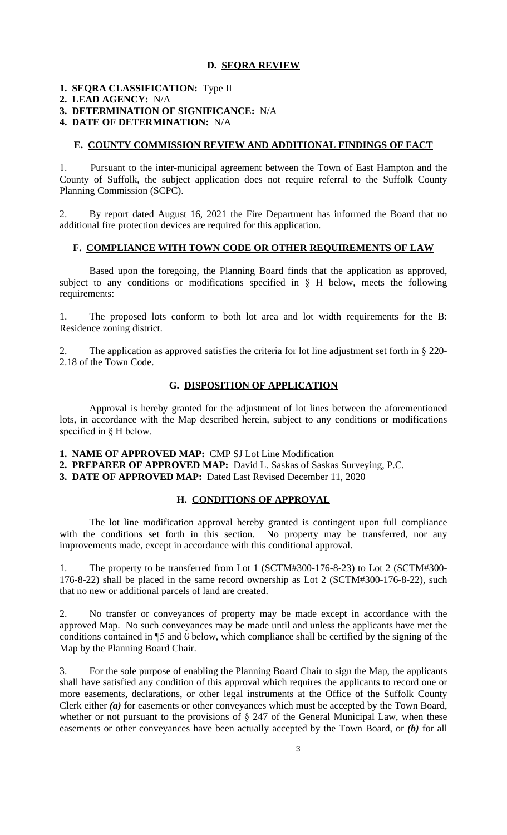## **D. SEQRA REVIEW**

# **1. SEQRA CLASSIFICATION:** Type II **2. LEAD AGENCY:** N/A **3. DETERMINATION OF SIGNIFICANCE:** N/A

**4. DATE OF DETERMINATION:** N/A

## **E. COUNTY COMMISSION REVIEW AND ADDITIONAL FINDINGS OF FACT**

1. Pursuant to the inter-municipal agreement between the Town of East Hampton and the County of Suffolk, the subject application does not require referral to the Suffolk County Planning Commission (SCPC).

2. By report dated August 16, 2021 the Fire Department has informed the Board that no additional fire protection devices are required for this application.

## **F. COMPLIANCE WITH TOWN CODE OR OTHER REQUIREMENTS OF LAW**

Based upon the foregoing, the Planning Board finds that the application as approved, subject to any conditions or modifications specified in  $\S$  H below, meets the following requirements:

1. The proposed lots conform to both lot area and lot width requirements for the B: Residence zoning district.

2. The application as approved satisfies the criteria for lot line adjustment set forth in § 220- 2.18 of the Town Code.

## **G. DISPOSITION OF APPLICATION**

Approval is hereby granted for the adjustment of lot lines between the aforementioned lots, in accordance with the Map described herein, subject to any conditions or modifications specified in § H below.

**1. NAME OF APPROVED MAP:** CMP SJ Lot Line Modification

**2. PREPARER OF APPROVED MAP:** David L. Saskas of Saskas Surveying, P.C.

**3. DATE OF APPROVED MAP:** Dated Last Revised December 11, 2020

# **H. CONDITIONS OF APPROVAL**

The lot line modification approval hereby granted is contingent upon full compliance with the conditions set forth in this section. No property may be transferred, nor any improvements made, except in accordance with this conditional approval.

1. The property to be transferred from Lot 1 (SCTM#300-176-8-23) to Lot 2 (SCTM#300- 176-8-22) shall be placed in the same record ownership as Lot 2 (SCTM#300-176-8-22), such that no new or additional parcels of land are created.

2. No transfer or conveyances of property may be made except in accordance with the approved Map. No such conveyances may be made until and unless the applicants have met the conditions contained in ¶5 and 6 below, which compliance shall be certified by the signing of the Map by the Planning Board Chair.

3. For the sole purpose of enabling the Planning Board Chair to sign the Map, the applicants shall have satisfied any condition of this approval which requires the applicants to record one or more easements, declarations, or other legal instruments at the Office of the Suffolk County Clerk either *(a)* for easements or other conveyances which must be accepted by the Town Board, whether or not pursuant to the provisions of  $\S$  247 of the General Municipal Law, when these easements or other conveyances have been actually accepted by the Town Board, or *(b)* for all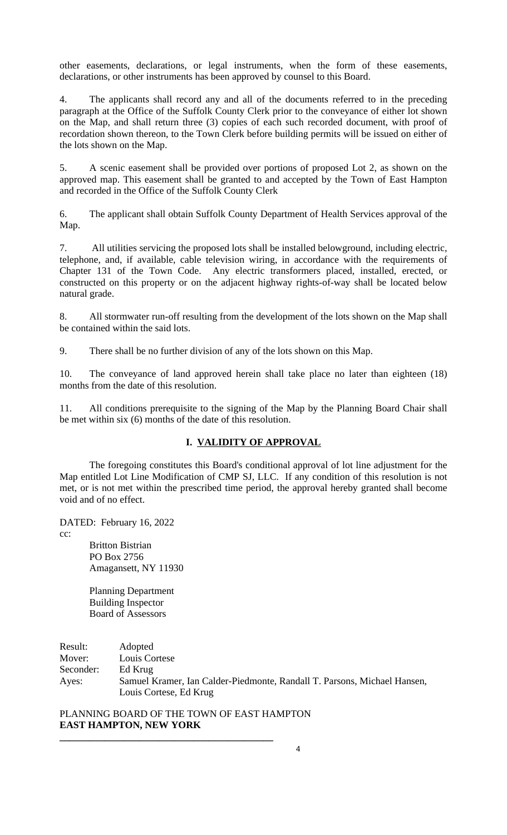other easements, declarations, or legal instruments, when the form of these easements, declarations, or other instruments has been approved by counsel to this Board.

4. The applicants shall record any and all of the documents referred to in the preceding paragraph at the Office of the Suffolk County Clerk prior to the conveyance of either lot shown on the Map, and shall return three (3) copies of each such recorded document, with proof of recordation shown thereon, to the Town Clerk before building permits will be issued on either of the lots shown on the Map.

5. A scenic easement shall be provided over portions of proposed Lot 2, as shown on the approved map. This easement shall be granted to and accepted by the Town of East Hampton and recorded in the Office of the Suffolk County Clerk

6. The applicant shall obtain Suffolk County Department of Health Services approval of the Map.

7. All utilities servicing the proposed lots shall be installed belowground, including electric, telephone, and, if available, cable television wiring, in accordance with the requirements of Chapter 131 of the Town Code. Any electric transformers placed, installed, erected, or constructed on this property or on the adjacent highway rights-of-way shall be located below natural grade.

8. All stormwater run-off resulting from the development of the lots shown on the Map shall be contained within the said lots.

9. There shall be no further division of any of the lots shown on this Map.

10. The conveyance of land approved herein shall take place no later than eighteen (18) months from the date of this resolution.

11. All conditions prerequisite to the signing of the Map by the Planning Board Chair shall be met within six (6) months of the date of this resolution.

# **I. VALIDITY OF APPROVAL**

The foregoing constitutes this Board's conditional approval of lot line adjustment for the Map entitled Lot Line Modification of CMP SJ, LLC. If any condition of this resolution is not met, or is not met within the prescribed time period, the approval hereby granted shall become void and of no effect.

DATED: February 16, 2022

cc:

Britton Bistrian PO Box 2756 Amagansett, NY 11930

Planning Department Building Inspector Board of Assessors

Result: Adopted Mover: Louis Cortese Seconder: Ed Krug Ayes: Samuel Kramer, Ian Calder-Piedmonte, Randall T. Parsons, Michael Hansen, Louis Cortese, Ed Krug

PLANNING BOARD OF THE TOWN OF EAST HAMPTON **EAST HAMPTON, NEW YORK**

**\_\_\_\_\_\_\_\_\_\_\_\_\_\_\_\_\_\_\_\_\_\_\_\_\_\_\_\_\_\_\_\_\_\_\_\_\_\_\_\_\_\_\_**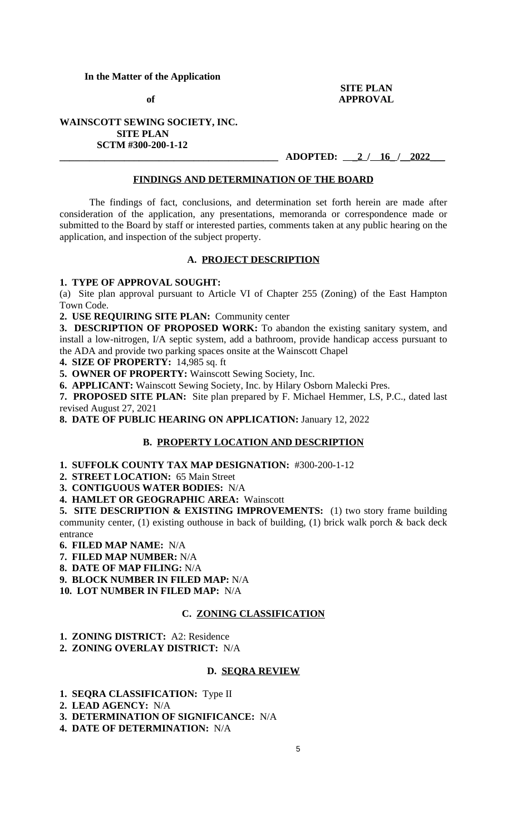# **In the Matter of the Application**

## **SITE PLAN of** APPROVAL

# **WAINSCOTT SEWING SOCIETY, INC. SITE PLAN SCTM #300-200-1-12**

**\_\_\_\_\_\_\_\_\_\_\_\_\_\_\_\_\_\_\_\_\_\_\_\_\_\_\_\_\_\_\_\_\_\_\_\_\_\_\_\_\_\_\_\_ ADOPTED: \_2 / 16\_ /\_\_2022\_\_\_**

## **FINDINGS AND DETERMINATION OF THE BOARD**

The findings of fact, conclusions, and determination set forth herein are made after consideration of the application, any presentations, memoranda or correspondence made or submitted to the Board by staff or interested parties, comments taken at any public hearing on the application, and inspection of the subject property.

# **A. PROJECT DESCRIPTION**

# **1. TYPE OF APPROVAL SOUGHT:**

(a) Site plan approval pursuant to Article VI of Chapter 255 (Zoning) of the East Hampton Town Code.

**2. USE REQUIRING SITE PLAN:** Community center

**3. DESCRIPTION OF PROPOSED WORK:** To abandon the existing sanitary system, and install a low-nitrogen, I/A septic system, add a bathroom, provide handicap access pursuant to the ADA and provide two parking spaces onsite at the Wainscott Chapel

**4. SIZE OF PROPERTY:** 14,985 sq. ft

**5. OWNER OF PROPERTY:** Wainscott Sewing Society, Inc.

**6. APPLICANT:** Wainscott Sewing Society, Inc. by Hilary Osborn Malecki Pres.

**7. PROPOSED SITE PLAN:** Site plan prepared by F. Michael Hemmer, LS, P.C., dated last revised August 27, 2021

**8. DATE OF PUBLIC HEARING ON APPLICATION:** January 12, 2022

### **B. PROPERTY LOCATION AND DESCRIPTION**

**1. SUFFOLK COUNTY TAX MAP DESIGNATION:** #300-200-1-12

**2. STREET LOCATION:** 65 Main Street

**3. CONTIGUOUS WATER BODIES:** N/A

**4. HAMLET OR GEOGRAPHIC AREA:** Wainscott

**5. SITE DESCRIPTION & EXISTING IMPROVEMENTS:** (1) two story frame building community center, (1) existing outhouse in back of building, (1) brick walk porch & back deck entrance

**6. FILED MAP NAME:** N/A

**7. FILED MAP NUMBER:** N/A

**8. DATE OF MAP FILING:** N/A

**9. BLOCK NUMBER IN FILED MAP:** N/A

**10. LOT NUMBER IN FILED MAP:** N/A

## **C. ZONING CLASSIFICATION**

- **1. ZONING DISTRICT:** A2: Residence
- **2. ZONING OVERLAY DISTRICT:** N/A

#### **D. SEQRA REVIEW**

- **1. SEQRA CLASSIFICATION:** Type II
- **2. LEAD AGENCY:** N/A
- **3. DETERMINATION OF SIGNIFICANCE:** N/A

**4. DATE OF DETERMINATION:** N/A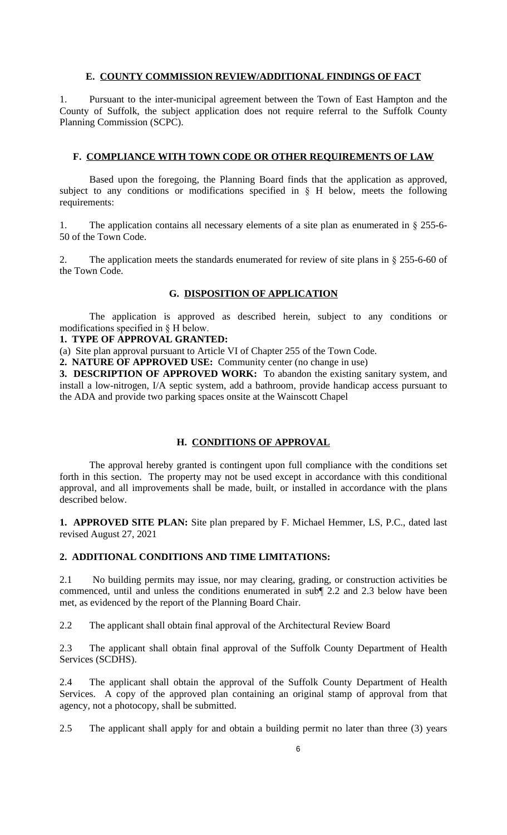## **E. COUNTY COMMISSION REVIEW/ADDITIONAL FINDINGS OF FACT**

1. Pursuant to the inter-municipal agreement between the Town of East Hampton and the County of Suffolk, the subject application does not require referral to the Suffolk County Planning Commission (SCPC).

## **F. COMPLIANCE WITH TOWN CODE OR OTHER REQUIREMENTS OF LAW**

Based upon the foregoing, the Planning Board finds that the application as approved, subject to any conditions or modifications specified in § H below, meets the following requirements:

1. The application contains all necessary elements of a site plan as enumerated in  $\S$  255-6-50 of the Town Code.

2. The application meets the standards enumerated for review of site plans in § 255-6-60 of the Town Code.

# **G. DISPOSITION OF APPLICATION**

The application is approved as described herein, subject to any conditions or modifications specified in § H below.

#### **1. TYPE OF APPROVAL GRANTED:**

(a) Site plan approval pursuant to Article VI of Chapter 255 of the Town Code.

**2. NATURE OF APPROVED USE:** Community center (no change in use)

**3. DESCRIPTION OF APPROVED WORK:** To abandon the existing sanitary system, and install a low-nitrogen, I/A septic system, add a bathroom, provide handicap access pursuant to the ADA and provide two parking spaces onsite at the Wainscott Chapel

# **H. CONDITIONS OF APPROVAL**

The approval hereby granted is contingent upon full compliance with the conditions set forth in this section. The property may not be used except in accordance with this conditional approval, and all improvements shall be made, built, or installed in accordance with the plans described below.

**1. APPROVED SITE PLAN:** Site plan prepared by F. Michael Hemmer, LS, P.C., dated last revised August 27, 2021

# **2. ADDITIONAL CONDITIONS AND TIME LIMITATIONS:**

2.1 No building permits may issue, nor may clearing, grading, or construction activities be commenced, until and unless the conditions enumerated in sub¶ 2.2 and 2.3 below have been met, as evidenced by the report of the Planning Board Chair.

2.2 The applicant shall obtain final approval of the Architectural Review Board

2.3 The applicant shall obtain final approval of the Suffolk County Department of Health Services (SCDHS).

2.4 The applicant shall obtain the approval of the Suffolk County Department of Health Services. A copy of the approved plan containing an original stamp of approval from that agency, not a photocopy, shall be submitted.

2.5 The applicant shall apply for and obtain a building permit no later than three (3) years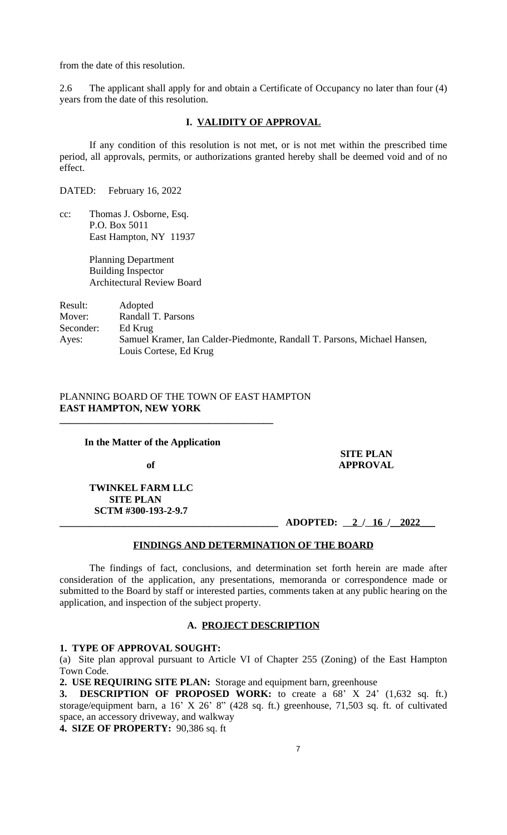from the date of this resolution.

2.6 The applicant shall apply for and obtain a Certificate of Occupancy no later than four (4) years from the date of this resolution.

# **I. VALIDITY OF APPROVAL**

If any condition of this resolution is not met, or is not met within the prescribed time period, all approvals, permits, or authorizations granted hereby shall be deemed void and of no effect.

DATED: February 16, 2022

cc: Thomas J. Osborne, Esq. P.O. Box 5011 East Hampton, NY 11937

> Planning Department Building Inspector Architectural Review Board

# Result: Adopted Mover: Randall T. Parsons Seconder: Ed Krug Ayes: Samuel Kramer, Ian Calder-Piedmonte, Randall T. Parsons, Michael Hansen, Louis Cortese, Ed Krug

# PLANNING BOARD OF THE TOWN OF EAST HAMPTON **EAST HAMPTON, NEW YORK**

#### **In the Matter of the Application**

**\_\_\_\_\_\_\_\_\_\_\_\_\_\_\_\_\_\_\_\_\_\_\_\_\_\_\_\_\_\_\_\_\_\_\_\_\_\_\_\_\_\_\_**

### **SITE PLAN** of **APPROVAL**

 **TWINKEL FARM LLC SITE PLAN SCTM #300-193-2-9.7**

**\_\_\_\_\_\_\_\_\_\_\_\_\_\_\_\_\_\_\_\_\_\_\_\_\_\_\_\_\_\_\_\_\_\_\_\_\_\_\_\_\_\_\_\_ ADOPTED: 2 / 16 /\_\_2022\_\_\_**

## **FINDINGS AND DETERMINATION OF THE BOARD**

The findings of fact, conclusions, and determination set forth herein are made after consideration of the application, any presentations, memoranda or correspondence made or submitted to the Board by staff or interested parties, comments taken at any public hearing on the application, and inspection of the subject property.

#### **A. PROJECT DESCRIPTION**

#### **1. TYPE OF APPROVAL SOUGHT:**

(a) Site plan approval pursuant to Article VI of Chapter 255 (Zoning) of the East Hampton Town Code.

**2. USE REQUIRING SITE PLAN:** Storage and equipment barn, greenhouse

**3. DESCRIPTION OF PROPOSED WORK:** to create a 68' X 24' (1,632 sq. ft.) storage/equipment barn, a 16' X 26' 8" (428 sq. ft.) greenhouse, 71,503 sq. ft. of cultivated space, an accessory driveway, and walkway

**4. SIZE OF PROPERTY:** 90,386 sq. ft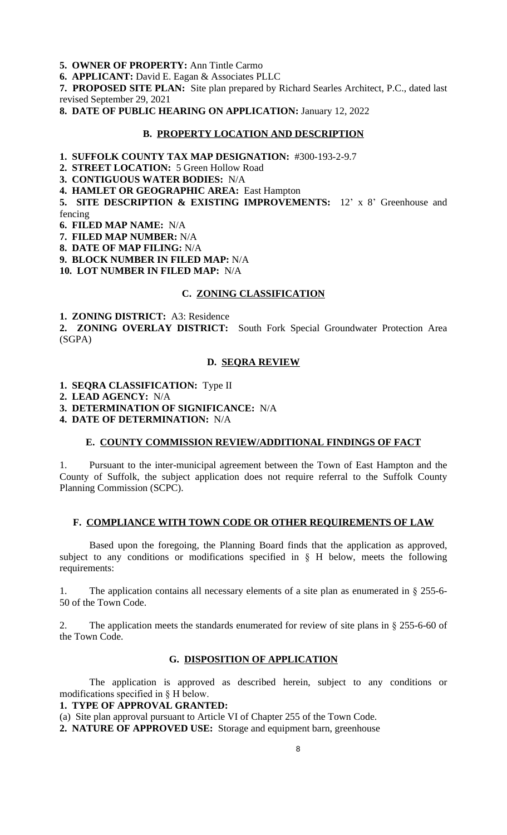**5. OWNER OF PROPERTY:** Ann Tintle Carmo

**6. APPLICANT:** David E. Eagan & Associates PLLC

**7. PROPOSED SITE PLAN:** Site plan prepared by Richard Searles Architect, P.C., dated last revised September 29, 2021

**8. DATE OF PUBLIC HEARING ON APPLICATION:** January 12, 2022

#### **B. PROPERTY LOCATION AND DESCRIPTION**

**1. SUFFOLK COUNTY TAX MAP DESIGNATION:** #300-193-2-9.7

**2. STREET LOCATION:** 5 Green Hollow Road

**3. CONTIGUOUS WATER BODIES:** N/A

**4. HAMLET OR GEOGRAPHIC AREA:** East Hampton

**5. SITE DESCRIPTION & EXISTING IMPROVEMENTS:** 12' x 8' Greenhouse and fencing

**6. FILED MAP NAME:** N/A

**7. FILED MAP NUMBER:** N/A

**8. DATE OF MAP FILING:** N/A

**9. BLOCK NUMBER IN FILED MAP:** N/A

**10. LOT NUMBER IN FILED MAP:** N/A

# **C. ZONING CLASSIFICATION**

**1. ZONING DISTRICT:** A3: Residence

**2. ZONING OVERLAY DISTRICT:** South Fork Special Groundwater Protection Area (SGPA)

## **D. SEQRA REVIEW**

**1. SEQRA CLASSIFICATION:** Type II

**2. LEAD AGENCY:** N/A

**3. DETERMINATION OF SIGNIFICANCE:** N/A

**4. DATE OF DETERMINATION:** N/A

### **E. COUNTY COMMISSION REVIEW/ADDITIONAL FINDINGS OF FACT**

Pursuant to the inter-municipal agreement between the Town of East Hampton and the County of Suffolk, the subject application does not require referral to the Suffolk County Planning Commission (SCPC).

### **F. COMPLIANCE WITH TOWN CODE OR OTHER REQUIREMENTS OF LAW**

Based upon the foregoing, the Planning Board finds that the application as approved, subject to any conditions or modifications specified in  $\S$  H below, meets the following requirements:

1. The application contains all necessary elements of a site plan as enumerated in § 255-6- 50 of the Town Code.

2. The application meets the standards enumerated for review of site plans in § 255-6-60 of the Town Code.

### **G. DISPOSITION OF APPLICATION**

The application is approved as described herein, subject to any conditions or modifications specified in § H below.

**1. TYPE OF APPROVAL GRANTED:**

(a) Site plan approval pursuant to Article VI of Chapter 255 of the Town Code.

**2. NATURE OF APPROVED USE:** Storage and equipment barn, greenhouse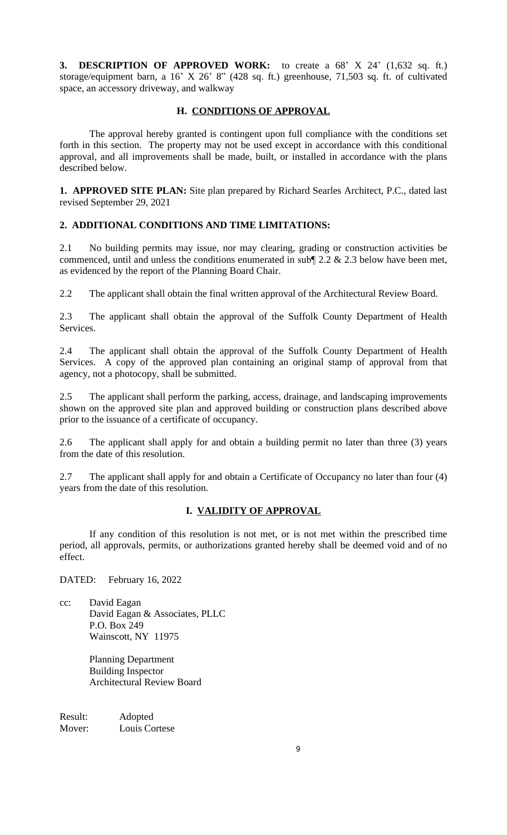**3. DESCRIPTION OF APPROVED WORK:** to create a 68' X 24' (1,632 sq. ft.) storage/equipment barn, a 16' X 26' 8" (428 sq. ft.) greenhouse, 71,503 sq. ft. of cultivated space, an accessory driveway, and walkway

# **H. CONDITIONS OF APPROVAL**

The approval hereby granted is contingent upon full compliance with the conditions set forth in this section. The property may not be used except in accordance with this conditional approval, and all improvements shall be made, built, or installed in accordance with the plans described below.

**1. APPROVED SITE PLAN:** Site plan prepared by Richard Searles Architect, P.C., dated last revised September 29, 2021

# **2. ADDITIONAL CONDITIONS AND TIME LIMITATIONS:**

2.1 No building permits may issue, nor may clearing, grading or construction activities be commenced, until and unless the conditions enumerated in sub¶ 2.2 & 2.3 below have been met, as evidenced by the report of the Planning Board Chair.

2.2 The applicant shall obtain the final written approval of the Architectural Review Board.

2.3 The applicant shall obtain the approval of the Suffolk County Department of Health Services.

2.4 The applicant shall obtain the approval of the Suffolk County Department of Health Services. A copy of the approved plan containing an original stamp of approval from that agency, not a photocopy, shall be submitted.

2.5 The applicant shall perform the parking, access, drainage, and landscaping improvements shown on the approved site plan and approved building or construction plans described above prior to the issuance of a certificate of occupancy.

2.6 The applicant shall apply for and obtain a building permit no later than three (3) years from the date of this resolution.

2.7 The applicant shall apply for and obtain a Certificate of Occupancy no later than four (4) years from the date of this resolution.

# **I. VALIDITY OF APPROVAL**

If any condition of this resolution is not met, or is not met within the prescribed time period, all approvals, permits, or authorizations granted hereby shall be deemed void and of no effect.

DATED: February 16, 2022

cc: David Eagan David Eagan & Associates, PLLC P.O. Box 249 Wainscott, NY 11975

> Planning Department Building Inspector Architectural Review Board

Result: Adopted Mover: Louis Cortese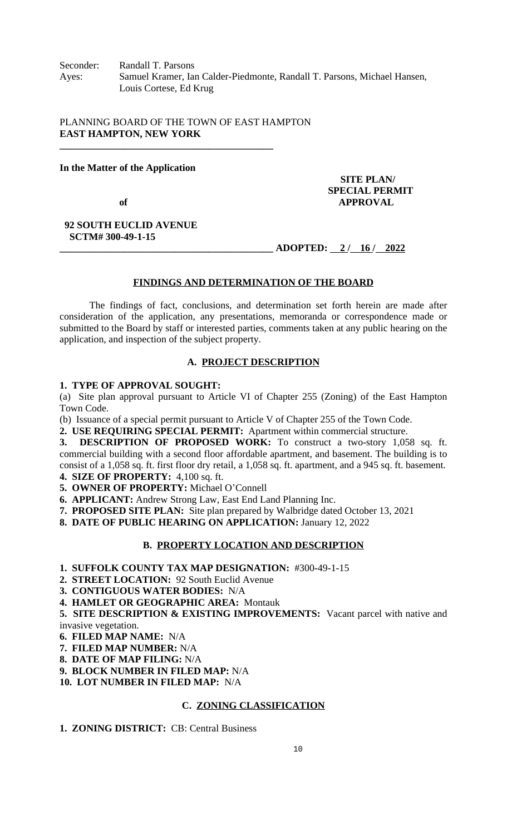Seconder: Randall T. Parsons Ayes: Samuel Kramer, Ian Calder-Piedmonte, Randall T. Parsons, Michael Hansen, Louis Cortese, Ed Krug

PLANNING BOARD OF THE TOWN OF EAST HAMPTON **EAST HAMPTON, NEW YORK**

**\_\_\_\_\_\_\_\_\_\_\_\_\_\_\_\_\_\_\_\_\_\_\_\_\_\_\_\_\_\_\_\_\_\_\_\_\_\_\_\_\_\_\_**

## **In the Matter of the Application**

 **SITE PLAN/ SPECIAL PERMIT** of **APPROVAL** 

#### **92 SOUTH EUCLID AVENUE SCTM# 300-49-1-15**

**\_\_\_\_\_\_\_\_\_\_\_\_\_\_\_\_\_\_\_\_\_\_\_\_\_\_\_\_\_\_\_\_\_\_\_\_\_\_\_\_\_\_\_ ADOPTED: 2 / 16 / 2022**

# **FINDINGS AND DETERMINATION OF THE BOARD**

The findings of fact, conclusions, and determination set forth herein are made after consideration of the application, any presentations, memoranda or correspondence made or submitted to the Board by staff or interested parties, comments taken at any public hearing on the application, and inspection of the subject property.

# **A. PROJECT DESCRIPTION**

## **1. TYPE OF APPROVAL SOUGHT:**

(a) Site plan approval pursuant to Article VI of Chapter 255 (Zoning) of the East Hampton Town Code.

(b) Issuance of a special permit pursuant to Article V of Chapter 255 of the Town Code.

**2. USE REQUIRING SPECIAL PERMIT:** Apartment within commercial structure.

**3. DESCRIPTION OF PROPOSED WORK:** To construct a two-story 1,058 sq. ft. commercial building with a second floor affordable apartment, and basement. The building is to consist of a 1,058 sq. ft. first floor dry retail, a 1,058 sq. ft. apartment, and a 945 sq. ft. basement.

**4. SIZE OF PROPERTY:** 4,100 sq. ft.

**5. OWNER OF PROPERTY:** Michael O'Connell

**6. APPLICANT:** Andrew Strong Law, East End Land Planning Inc.

**7. PROPOSED SITE PLAN:** Site plan prepared by Walbridge dated October 13, 2021

**8. DATE OF PUBLIC HEARING ON APPLICATION:** January 12, 2022

# **B. PROPERTY LOCATION AND DESCRIPTION**

**1. SUFFOLK COUNTY TAX MAP DESIGNATION:** #300-49-1-15

**2. STREET LOCATION:** 92 South Euclid Avenue

**3. CONTIGUOUS WATER BODIES:** N/A

**4. HAMLET OR GEOGRAPHIC AREA:** Montauk

**5. SITE DESCRIPTION & EXISTING IMPROVEMENTS:** Vacant parcel with native and invasive vegetation.

**6. FILED MAP NAME:** N/A

**7. FILED MAP NUMBER:** N/A

**8. DATE OF MAP FILING:** N/A

**9. BLOCK NUMBER IN FILED MAP:** N/A

**10. LOT NUMBER IN FILED MAP:** N/A

# **C. ZONING CLASSIFICATION**

**1. ZONING DISTRICT:** CB: Central Business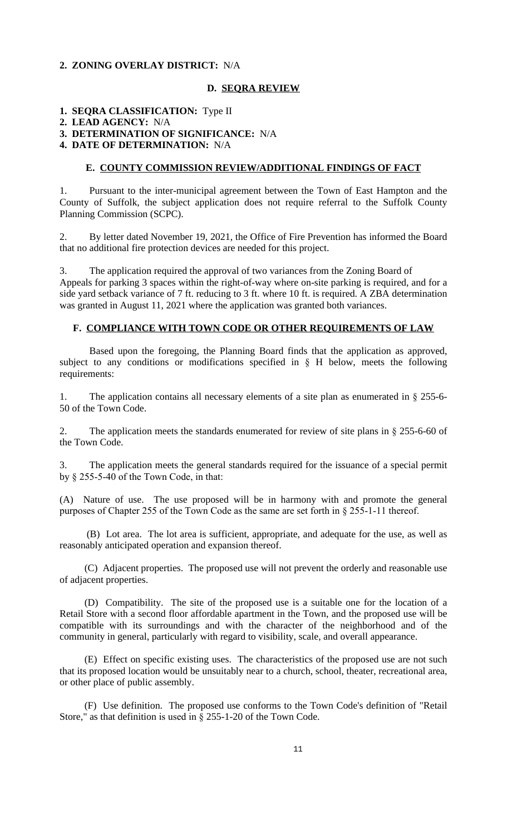# **2. ZONING OVERLAY DISTRICT:** N/A

## **D. SEQRA REVIEW**

# **1. SEQRA CLASSIFICATION:** Type II

## **2. LEAD AGENCY:** N/A

**3. DETERMINATION OF SIGNIFICANCE:** N/A

## **4. DATE OF DETERMINATION:** N/A

## **E. COUNTY COMMISSION REVIEW/ADDITIONAL FINDINGS OF FACT**

1. Pursuant to the inter-municipal agreement between the Town of East Hampton and the County of Suffolk, the subject application does not require referral to the Suffolk County Planning Commission (SCPC).

2. By letter dated November 19, 2021, the Office of Fire Prevention has informed the Board that no additional fire protection devices are needed for this project.

3. The application required the approval of two variances from the Zoning Board of Appeals for parking 3 spaces within the right-of-way where on-site parking is required, and for a side yard setback variance of 7 ft. reducing to 3 ft. where 10 ft. is required. A ZBA determination was granted in August 11, 2021 where the application was granted both variances.

## **F. COMPLIANCE WITH TOWN CODE OR OTHER REQUIREMENTS OF LAW**

Based upon the foregoing, the Planning Board finds that the application as approved, subject to any conditions or modifications specified in § H below, meets the following requirements:

1. The application contains all necessary elements of a site plan as enumerated in § 255-6- 50 of the Town Code.

2. The application meets the standards enumerated for review of site plans in § 255-6-60 of the Town Code.

3. The application meets the general standards required for the issuance of a special permit by § 255-5-40 of the Town Code, in that:

(A) Nature of use. The use proposed will be in harmony with and promote the general purposes of Chapter 255 of the Town Code as the same are set forth in § 255-1-11 thereof.

(B) Lot area. The lot area is sufficient, appropriate, and adequate for the use, as well as reasonably anticipated operation and expansion thereof.

(C) Adjacent properties. The proposed use will not prevent the orderly and reasonable use of adjacent properties.

(D) Compatibility. The site of the proposed use is a suitable one for the location of a Retail Store with a second floor affordable apartment in the Town, and the proposed use will be compatible with its surroundings and with the character of the neighborhood and of the community in general, particularly with regard to visibility, scale, and overall appearance.

(E) Effect on specific existing uses. The characteristics of the proposed use are not such that its proposed location would be unsuitably near to a church, school, theater, recreational area, or other place of public assembly.

(F) Use definition. The proposed use conforms to the Town Code's definition of "Retail Store," as that definition is used in § 255-1-20 of the Town Code.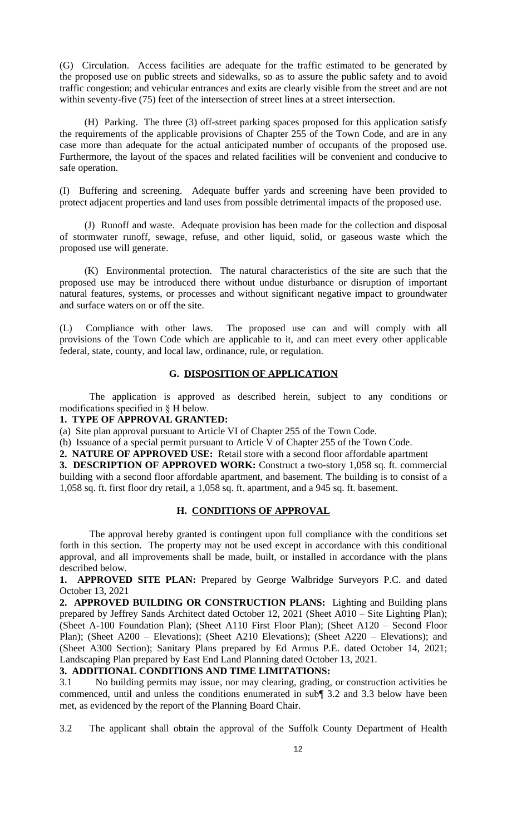(G) Circulation. Access facilities are adequate for the traffic estimated to be generated by the proposed use on public streets and sidewalks, so as to assure the public safety and to avoid traffic congestion; and vehicular entrances and exits are clearly visible from the street and are not within seventy-five (75) feet of the intersection of street lines at a street intersection.

(H) Parking. The three (3) off-street parking spaces proposed for this application satisfy the requirements of the applicable provisions of Chapter 255 of the Town Code, and are in any case more than adequate for the actual anticipated number of occupants of the proposed use. Furthermore, the layout of the spaces and related facilities will be convenient and conducive to safe operation.

(I) Buffering and screening. Adequate buffer yards and screening have been provided to protect adjacent properties and land uses from possible detrimental impacts of the proposed use.

(J) Runoff and waste. Adequate provision has been made for the collection and disposal of stormwater runoff, sewage, refuse, and other liquid, solid, or gaseous waste which the proposed use will generate.

(K) Environmental protection. The natural characteristics of the site are such that the proposed use may be introduced there without undue disturbance or disruption of important natural features, systems, or processes and without significant negative impact to groundwater and surface waters on or off the site.

(L) Compliance with other laws. The proposed use can and will comply with all provisions of the Town Code which are applicable to it, and can meet every other applicable federal, state, county, and local law, ordinance, rule, or regulation.

# **G. DISPOSITION OF APPLICATION**

The application is approved as described herein, subject to any conditions or modifications specified in § H below.

## **1. TYPE OF APPROVAL GRANTED:**

(a) Site plan approval pursuant to Article VI of Chapter 255 of the Town Code.

(b) Issuance of a special permit pursuant to Article V of Chapter 255 of the Town Code.

**2. NATURE OF APPROVED USE:** Retail store with a second floor affordable apartment

**3. DESCRIPTION OF APPROVED WORK:** Construct a two-story 1,058 sq. ft. commercial building with a second floor affordable apartment, and basement. The building is to consist of a 1,058 sq. ft. first floor dry retail, a 1,058 sq. ft. apartment, and a 945 sq. ft. basement.

## **H. CONDITIONS OF APPROVAL**

The approval hereby granted is contingent upon full compliance with the conditions set forth in this section. The property may not be used except in accordance with this conditional approval, and all improvements shall be made, built, or installed in accordance with the plans described below.

**1. APPROVED SITE PLAN:** Prepared by George Walbridge Surveyors P.C. and dated October 13, 2021

**2. APPROVED BUILDING OR CONSTRUCTION PLANS:** Lighting and Building plans prepared by Jeffrey Sands Architect dated October 12, 2021 (Sheet A010 – Site Lighting Plan); (Sheet A-100 Foundation Plan); (Sheet A110 First Floor Plan); (Sheet A120 – Second Floor Plan); (Sheet A200 – Elevations); (Sheet A210 Elevations); (Sheet A220 – Elevations); and (Sheet A300 Section); Sanitary Plans prepared by Ed Armus P.E. dated October 14, 2021; Landscaping Plan prepared by East End Land Planning dated October 13, 2021.

# **3. ADDITIONAL CONDITIONS AND TIME LIMITATIONS:**

3.1 No building permits may issue, nor may clearing, grading, or construction activities be commenced, until and unless the conditions enumerated in sub¶ 3.2 and 3.3 below have been met, as evidenced by the report of the Planning Board Chair.

3.2 The applicant shall obtain the approval of the Suffolk County Department of Health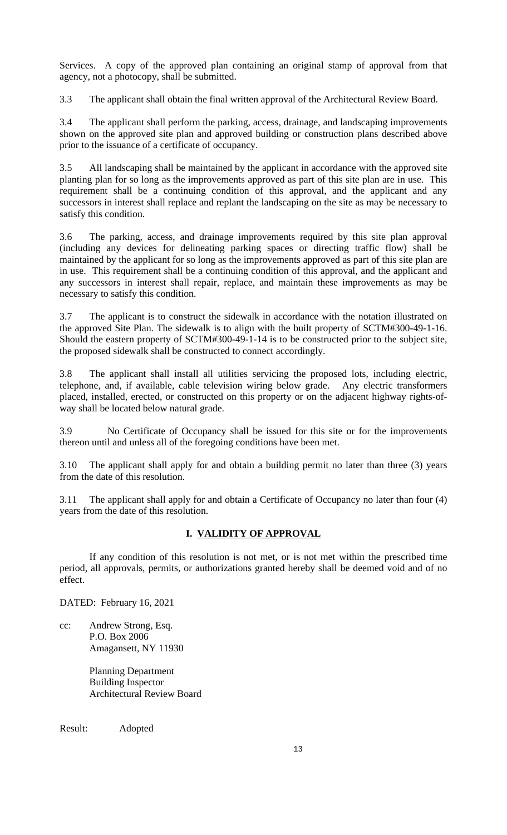Services. A copy of the approved plan containing an original stamp of approval from that agency, not a photocopy, shall be submitted.

3.3 The applicant shall obtain the final written approval of the Architectural Review Board.

3.4 The applicant shall perform the parking, access, drainage, and landscaping improvements shown on the approved site plan and approved building or construction plans described above prior to the issuance of a certificate of occupancy.

3.5 All landscaping shall be maintained by the applicant in accordance with the approved site planting plan for so long as the improvements approved as part of this site plan are in use. This requirement shall be a continuing condition of this approval, and the applicant and any successors in interest shall replace and replant the landscaping on the site as may be necessary to satisfy this condition.

3.6 The parking, access, and drainage improvements required by this site plan approval (including any devices for delineating parking spaces or directing traffic flow) shall be maintained by the applicant for so long as the improvements approved as part of this site plan are in use. This requirement shall be a continuing condition of this approval, and the applicant and any successors in interest shall repair, replace, and maintain these improvements as may be necessary to satisfy this condition.

3.7 The applicant is to construct the sidewalk in accordance with the notation illustrated on the approved Site Plan. The sidewalk is to align with the built property of SCTM#300-49-1-16. Should the eastern property of SCTM#300-49-1-14 is to be constructed prior to the subject site, the proposed sidewalk shall be constructed to connect accordingly.

3.8 The applicant shall install all utilities servicing the proposed lots, including electric, telephone, and, if available, cable television wiring below grade. Any electric transformers placed, installed, erected, or constructed on this property or on the adjacent highway rights-ofway shall be located below natural grade.

3.9 No Certificate of Occupancy shall be issued for this site or for the improvements thereon until and unless all of the foregoing conditions have been met.

3.10 The applicant shall apply for and obtain a building permit no later than three (3) years from the date of this resolution.

3.11 The applicant shall apply for and obtain a Certificate of Occupancy no later than four (4) years from the date of this resolution.

# **I. VALIDITY OF APPROVAL**

If any condition of this resolution is not met, or is not met within the prescribed time period, all approvals, permits, or authorizations granted hereby shall be deemed void and of no effect.

DATED: February 16, 2021

cc: Andrew Strong, Esq. P.O. Box 2006 Amagansett, NY 11930

> Planning Department Building Inspector Architectural Review Board

Result: Adopted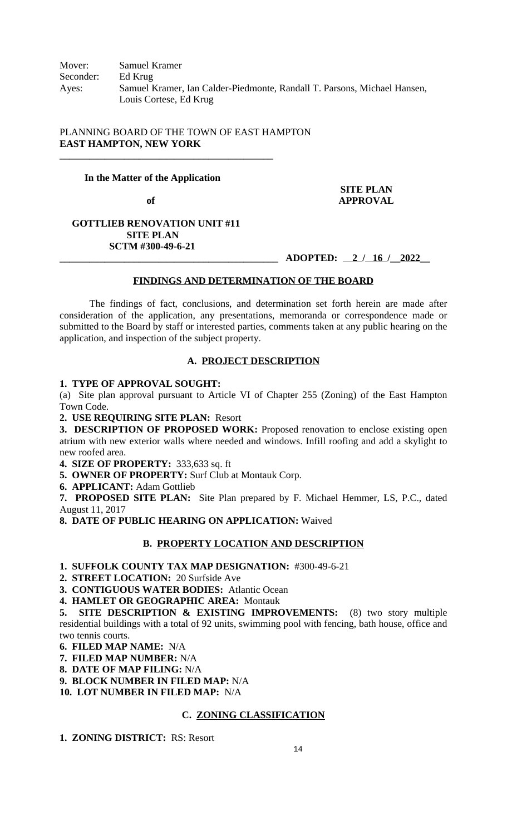# PLANNING BOARD OF THE TOWN OF EAST HAMPTON **EAST HAMPTON, NEW YORK**

## **In the Matter of the Application**

**\_\_\_\_\_\_\_\_\_\_\_\_\_\_\_\_\_\_\_\_\_\_\_\_\_\_\_\_\_\_\_\_\_\_\_\_\_\_\_\_\_\_\_**

# **SITE PLAN** of **APPROVAL**

# **GOTTLIEB RENOVATION UNIT #11 SITE PLAN SCTM #300-49-6-21**

# **\_\_\_\_\_\_\_\_\_\_\_\_\_\_\_\_\_\_\_\_\_\_\_\_\_\_\_\_\_\_\_\_\_\_\_\_\_\_\_\_\_\_\_\_ ADOPTED: 2 / 16 /\_\_2022\_\_**

## **FINDINGS AND DETERMINATION OF THE BOARD**

The findings of fact, conclusions, and determination set forth herein are made after consideration of the application, any presentations, memoranda or correspondence made or submitted to the Board by staff or interested parties, comments taken at any public hearing on the application, and inspection of the subject property.

# **A. PROJECT DESCRIPTION**

## **1. TYPE OF APPROVAL SOUGHT:**

(a) Site plan approval pursuant to Article VI of Chapter 255 (Zoning) of the East Hampton Town Code.

**2. USE REQUIRING SITE PLAN:** Resort

**3. DESCRIPTION OF PROPOSED WORK:** Proposed renovation to enclose existing open atrium with new exterior walls where needed and windows. Infill roofing and add a skylight to new roofed area.

**4. SIZE OF PROPERTY:** 333,633 sq. ft

**5. OWNER OF PROPERTY:** Surf Club at Montauk Corp.

**6. APPLICANT:** Adam Gottlieb

**7. PROPOSED SITE PLAN:** Site Plan prepared by F. Michael Hemmer, LS, P.C., dated August 11, 2017

**8. DATE OF PUBLIC HEARING ON APPLICATION:** Waived

# **B. PROPERTY LOCATION AND DESCRIPTION**

# **1. SUFFOLK COUNTY TAX MAP DESIGNATION:** #300-49-6-21

**2. STREET LOCATION:** 20 Surfside Ave

**3. CONTIGUOUS WATER BODIES:** Atlantic Ocean

**4. HAMLET OR GEOGRAPHIC AREA:** Montauk

**5. SITE DESCRIPTION & EXISTING IMPROVEMENTS:** (8) two story multiple residential buildings with a total of 92 units, swimming pool with fencing, bath house, office and two tennis courts.

**6. FILED MAP NAME:** N/A

**7. FILED MAP NUMBER:** N/A

**8. DATE OF MAP FILING:** N/A

**9. BLOCK NUMBER IN FILED MAP:** N/A

**10. LOT NUMBER IN FILED MAP:** N/A

# **C. ZONING CLASSIFICATION**

**1. ZONING DISTRICT:** RS: Resort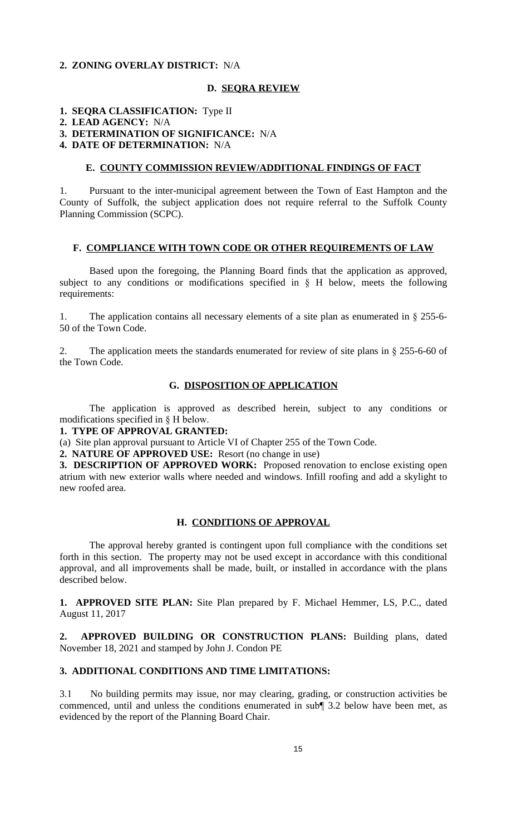## **2. ZONING OVERLAY DISTRICT:** N/A

## **D. SEQRA REVIEW**

## **1. SEQRA CLASSIFICATION:** Type II

#### **2. LEAD AGENCY:** N/A

**3. DETERMINATION OF SIGNIFICANCE:** N/A

### **4. DATE OF DETERMINATION:** N/A

## **E. COUNTY COMMISSION REVIEW/ADDITIONAL FINDINGS OF FACT**

1. Pursuant to the inter-municipal agreement between the Town of East Hampton and the County of Suffolk, the subject application does not require referral to the Suffolk County Planning Commission (SCPC).

#### **F. COMPLIANCE WITH TOWN CODE OR OTHER REQUIREMENTS OF LAW**

Based upon the foregoing, the Planning Board finds that the application as approved, subject to any conditions or modifications specified in  $\S$  H below, meets the following requirements:

1. The application contains all necessary elements of a site plan as enumerated in § 255-6- 50 of the Town Code.

2. The application meets the standards enumerated for review of site plans in § 255-6-60 of the Town Code.

# **G. DISPOSITION OF APPLICATION**

The application is approved as described herein, subject to any conditions or modifications specified in § H below.

**1. TYPE OF APPROVAL GRANTED:**

(a) Site plan approval pursuant to Article VI of Chapter 255 of the Town Code.

**2. NATURE OF APPROVED USE:** Resort (no change in use)

**3. DESCRIPTION OF APPROVED WORK:** Proposed renovation to enclose existing open atrium with new exterior walls where needed and windows. Infill roofing and add a skylight to new roofed area.

# **H. CONDITIONS OF APPROVAL**

The approval hereby granted is contingent upon full compliance with the conditions set forth in this section. The property may not be used except in accordance with this conditional approval, and all improvements shall be made, built, or installed in accordance with the plans described below.

**1. APPROVED SITE PLAN:** Site Plan prepared by F. Michael Hemmer, LS, P.C., dated August 11, 2017

**2. APPROVED BUILDING OR CONSTRUCTION PLANS:** Building plans, dated November 18, 2021 and stamped by John J. Condon PE

# **3. ADDITIONAL CONDITIONS AND TIME LIMITATIONS:**

3.1 No building permits may issue, nor may clearing, grading, or construction activities be commenced, until and unless the conditions enumerated in sub¶ 3.2 below have been met, as evidenced by the report of the Planning Board Chair.